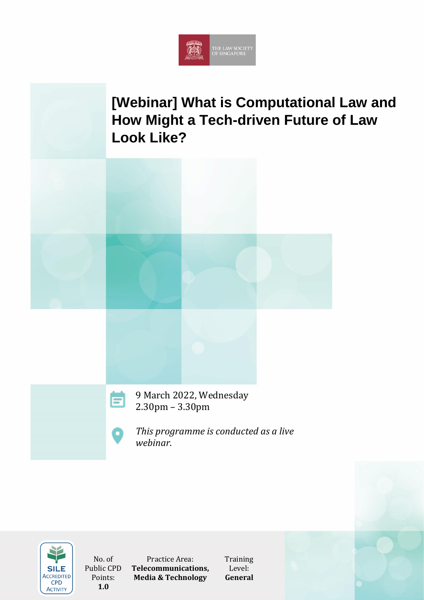

# **[Webinar] What is Computational Law and How Might a Tech-driven Future of Law Look Like?**





2.30pm – 3.30pm



*This programme is conducted as a live webinar.*



No. of Public CPD Points: **1.0**

Practice Area: **Telecommunications, Media & Technology**

**Training** Level: **General**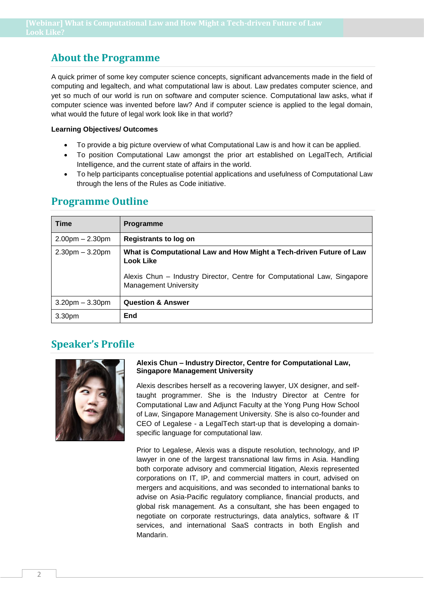## **About the Programme**

A quick primer of some key computer science concepts, significant advancements made in the field of computing and legaltech, and what computational law is about. Law predates computer science, and yet so much of our world is run on software and computer science. Computational law asks, what if computer science was invented before law? And if computer science is applied to the legal domain, what would the future of legal work look like in that world?

### **Learning Objectives/ Outcomes**

- To provide a big picture overview of what Computational Law is and how it can be applied.
- To position Computational Law amongst the prior art established on LegalTech, Artificial Intelligence, and the current state of affairs in the world.
- To help participants conceptualise potential applications and usefulness of Computational Law through the lens of the Rules as Code initiative.

### **Programme Outline**

| <b>Time</b>          | <b>Programme</b>                                                                                         |
|----------------------|----------------------------------------------------------------------------------------------------------|
| $2.00pm - 2.30pm$    | Registrants to log on                                                                                    |
| $2.30pm - 3.20pm$    | What is Computational Law and How Might a Tech-driven Future of Law<br><b>Look Like</b>                  |
|                      | Alexis Chun - Industry Director, Centre for Computational Law, Singapore<br><b>Management University</b> |
| $3.20$ pm $-3.30$ pm | <b>Question &amp; Answer</b>                                                                             |
| 3.30 <sub>pm</sub>   | End                                                                                                      |

### **Speaker's Profile**



### **Alexis Chun – Industry Director, Centre for Computational Law, Singapore Management University**

Alexis describes herself as a recovering lawyer, UX designer, and selftaught programmer. She is the Industry Director at Centre for Computational Law and Adjunct Faculty at the Yong Pung How School of Law, Singapore Management University. She is also co-founder and CEO of Legalese - a LegalTech start-up that is developing a domainspecific language for computational law.

Prior to Legalese, Alexis was a dispute resolution, technology, and IP lawyer in one of the largest transnational law firms in Asia. Handling both corporate advisory and commercial litigation, Alexis represented corporations on IT, IP, and commercial matters in court, advised on mergers and acquisitions, and was seconded to international banks to advise on Asia-Pacific regulatory compliance, financial products, and global risk management. As a consultant, she has been engaged to negotiate on corporate restructurings, data analytics, software & IT services, and international SaaS contracts in both English and Mandarin.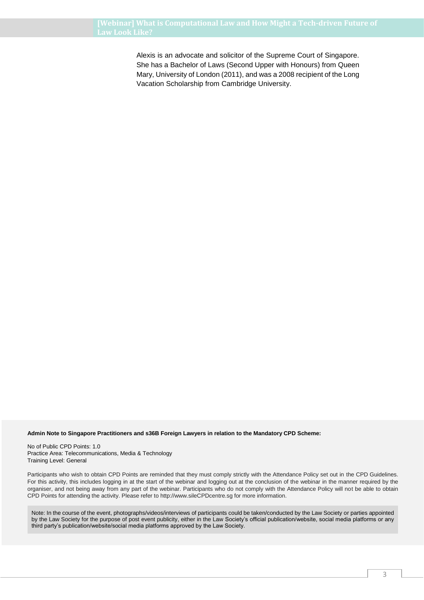Alexis is an advocate and solicitor of the Supreme Court of Singapore. She has a Bachelor of Laws (Second Upper with Honours) from Queen Mary, University of London (2011), and was a 2008 recipient of the Long Vacation Scholarship from Cambridge University.

#### **Admin Note to Singapore Practitioners and s36B Foreign Lawyers in relation to the Mandatory CPD Scheme:**

No of Public CPD Points: 1.0 Practice Area: Telecommunications, Media & Technology Training Level: General

Participants who wish to obtain CPD Points are reminded that they must comply strictly with the Attendance Policy set out in the CPD Guidelines. For this activity, this includes logging in at the start of the webinar and logging out at the conclusion of the webinar in the manner required by the organiser, and not being away from any part of the webinar. Participants who do not comply with the Attendance Policy will not be able to obtain CPD Points for attending the activity. Please refer to http://www.sileCPDcentre.sg for more information.

Note: In the course of the event, photographs/videos/interviews of participants could be taken/conducted by the Law Society or parties appointed by the Law Society for the purpose of post event publicity, either in the Law Society's official publication/website, social media platforms or any third party's publication/website/social media platforms approved by the Law Society.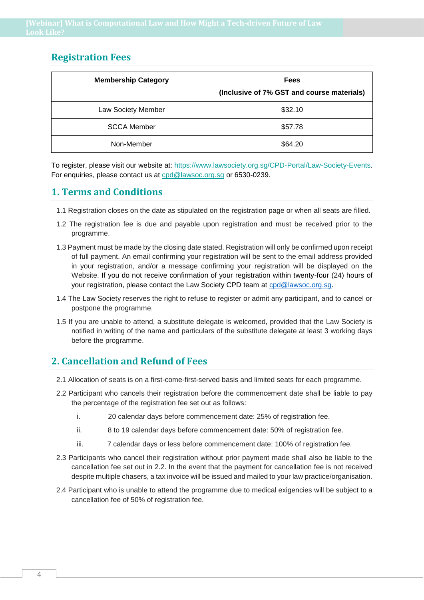### **Registration Fees**

| <b>Membership Category</b> | <b>Fees</b>                                |
|----------------------------|--------------------------------------------|
|                            | (Inclusive of 7% GST and course materials) |
| Law Society Member         | \$32.10                                    |
| <b>SCCA Member</b>         | \$57.78                                    |
| Non-Member                 | \$64.20                                    |

To register, please visit our website at: https://www.lawsociety.org.sg/CPD-Portal/Law-Society-Events. For enquiries, please contact us at cpd@lawsoc.org.sg or 6530-0239.

### **1. Terms and Conditions**

- 1.1 Registration closes on the date as stipulated on the registration page or when all seats are filled.
- 1.2 The registration fee is due and payable upon registration and must be received prior to the programme.
- 1.3 Payment must be made by the closing date stated. Registration will only be confirmed upon receipt of full payment. An email confirming your registration will be sent to the email address provided in your registration, and/or a message confirming your registration will be displayed on the Website. If you do not receive confirmation of your registration within twenty-four (24) hours of your registration, please contact the Law Society CPD team at [cpd@lawsoc.org.sg.](cpd@lawsoc.org.sg)
- 1.4 The Law Society reserves the right to refuse to register or admit any participant, and to cancel or postpone the programme.
- 1.5 If you are unable to attend, a substitute delegate is welcomed, provided that the Law Society is notified in writing of the name and particulars of the substitute delegate at least 3 working days before the programme.

### **2. Cancellation and Refund of Fees**

- 2.1 Allocation of seats is on a first-come-first-served basis and limited seats for each programme.
- 2.2 Participant who cancels their registration before the commencement date shall be liable to pay the percentage of the registration fee set out as follows:
	- i. 20 calendar days before commencement date: 25% of registration fee.
	- ii. 8 to 19 calendar days before commencement date: 50% of registration fee.
	- iii. 7 calendar days or less before commencement date: 100% of registration fee.
- 2.3 Participants who cancel their registration without prior payment made shall also be liable to the cancellation fee set out in 2.2. In the event that the payment for cancellation fee is not received despite multiple chasers, a tax invoice will be issued and mailed to your law practice/organisation.
- 2.4 Participant who is unable to attend the programme due to medical exigencies will be subject to a cancellation fee of 50% of registration fee.